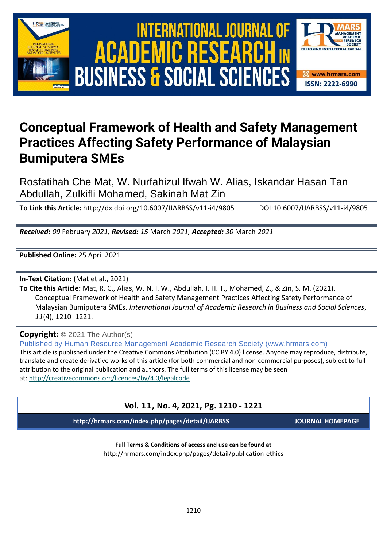





# **Conceptual Framework of Health and Safety Management Practices Affecting Safety Performance of Malaysian Bumiputera SMEs**

Rosfatihah Che Mat, W. Nurfahizul Ifwah W. Alias, Iskandar Hasan Tan Abdullah, Zulkifli Mohamed, Sakinah Mat Zin

**To Link this Article:** http://dx.doi.org/10.6007/IJARBSS/v11-i4/9805 DOI:10.6007/IJARBSS/v11-i4/9805

*Received: 09* February *2021, Revised: 15* March *2021, Accepted: 30* March *2021*

**Published Online:** 25 April 2021

**In-Text Citation:** (Mat et al., 2021)

**To Cite this Article:** Mat, R. C., Alias, W. N. I. W., Abdullah, I. H. T., Mohamed, Z., & Zin, S. M. (2021). Conceptual Framework of Health and Safety Management Practices Affecting Safety Performance of Malaysian Bumiputera SMEs. *International Journal of Academic Research in Business and Social Sciences*, *11*(4), 1210–1221.

**Copyright:** © 2021 The Author(s)

Published by Human Resource Management Academic Research Society (www.hrmars.com)

This article is published under the Creative Commons Attribution (CC BY 4.0) license. Anyone may reproduce, distribute, translate and create derivative works of this article (for both commercial and non-commercial purposes), subject to full attribution to the original publication and authors. The full terms of this license may be seen at: <http://creativecommons.org/licences/by/4.0/legalcode>

### **Vol. 11, No. 4, 2021, Pg. 1210 - 1221**

**http://hrmars.com/index.php/pages/detail/IJARBSS JOURNAL HOMEPAGE**

**Full Terms & Conditions of access and use can be found at** http://hrmars.com/index.php/pages/detail/publication-ethics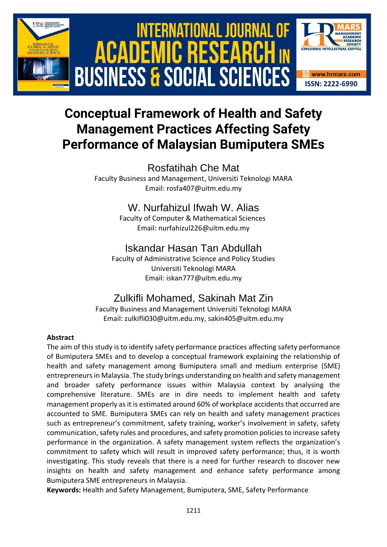





# **Conceptual Framework of Health and Safety Management Practices Affecting Safety Performance of Malaysian Bumiputera SMEs**

# Rosfatihah Che Mat

Faculty Business and Management, Universiti Teknologi MARA Email: rosfa407@uitm.edu.my

## W. Nurfahizul Ifwah W. Alias

Faculty of Computer & Mathematical Sciences Email: nurfahizul226@uitm.edu.my

# Iskandar Hasan Tan Abdullah

Faculty of Administrative Science and Policy Studies Universiti Teknologi MARA Email: iskan777@uitm.edu.my

# Zulkifli Mohamed, Sakinah Mat Zin

Faculty Business and Management Universiti Teknologi MARA Email: zulkifli030@uitm.edu.my, sakin405@uitm.edu.my

### **Abstract**

The aim of this study is to identify safety performance practices affecting safety performance of Bumiputera SMEs and to develop a conceptual framework explaining the relationship of health and safety management among Bumiputera small and medium enterprise (SME) entrepreneurs in Malaysia. The study brings understanding on health and safety management and broader safety performance issues within Malaysia context by analysing the comprehensive literature. SMEs are in dire needs to implement health and safety management properly as it is estimated around 60% of workplace accidents that occurred are accounted to SME. Bumiputera SMEs can rely on health and safety management practices such as entrepreneur's commitment, safety training, worker's involvement in safety, safety communication, safety rules and procedures, and safety promotion policies to increase safety performance in the organization. A safety management system reflects the organization's commitment to safety which will result in improved safety performance; thus, it is worth investigating. This study reveals that there is a need for further research to discover new insights on health and safety management and enhance safety performance among Bumiputera SME entrepreneurs in Malaysia.

**Keywords:** Health and Safety Management, Bumiputera, SME, Safety Performance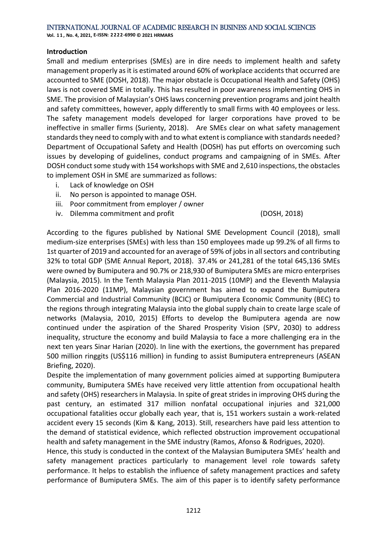#### **Introduction**

Small and medium enterprises (SMEs) are in dire needs to implement health and safety management properly as it is estimated around 60% of workplace accidents that occurred are accounted to SME (DOSH, 2018). The major obstacle is Occupational Health and Safety (OHS) laws is not covered SME in totally. This has resulted in poor awareness implementing OHS in SME. The provision of Malaysian's OHS laws concerning prevention programs and joint health and safety committees, however, apply differently to small firms with 40 employees or less. The safety management models developed for larger corporations have proved to be ineffective in smaller firms (Surienty, 2018). Are SMEs clear on what safety management standards they need to comply with and to what extent is compliance with standards needed? Department of Occupational Safety and Health (DOSH) has put efforts on overcoming such issues by developing of guidelines, conduct programs and campaigning of in SMEs. After DOSH conduct some study with 154 workshops with SME and 2,610 inspections, the obstacles to implement OSH in SME are summarized as follows:

- i. Lack of knowledge on OSH
- ii. No person is appointed to manage OSH.
- iii. Poor commitment from employer / owner
- iv. Dilemma commitment and profit (DOSH, 2018)

According to the figures published by National SME Development Council (2018), small medium-size enterprises (SMEs) with less than 150 employees made up 99.2% of all firms to 1st quarter of 2019 and accounted for an average of 59% of jobs in all sectors and contributing 32% to total GDP (SME Annual Report, 2018). 37.4% or 241,281 of the total 645,136 SMEs were owned by Bumiputera and 90.7% or 218,930 of Bumiputera SMEs are micro enterprises (Malaysia, 2015). In the Tenth Malaysia Plan 2011-2015 (10MP) and the Eleventh Malaysia Plan 2016-2020 (11MP), Malaysian government has aimed to expand the Bumiputera Commercial and Industrial Community (BCIC) or Bumiputera Economic Community (BEC) to the regions through integrating Malaysia into the global supply chain to create large scale of networks (Malaysia, 2010, 2015) Efforts to develop the Bumiputera agenda are now continued under the aspiration of the Shared Prosperity Vision (SPV, 2030) to address inequality, structure the economy and build Malaysia to face a more challenging era in the next ten years Sinar Harian (2020). In line with the exertions, the government has prepared 500 million ringgits (US\$116 million) in funding to assist Bumiputera entrepreneurs (ASEAN Briefing, 2020).

Despite the implementation of many government policies aimed at supporting Bumiputera community, Bumiputera SMEs have received very little attention from occupational health and safety (OHS) researchers in Malaysia. In spite of great strides in improving OHS during the past century, an estimated 317 million nonfatal occupational injuries and 321,000 occupational fatalities occur globally each year, that is, 151 workers sustain a work-related accident every 15 seconds (Kim & Kang, 2013). Still, researchers have paid less attention to the demand of statistical evidence, which reflected obstruction improvement occupational health and safety management in the SME industry (Ramos, Afonso & Rodrigues, 2020).

Hence, this study is conducted in the context of the Malaysian Bumiputera SMEs' health and safety management practices particularly to management level role towards safety performance. It helps to establish the influence of safety management practices and safety performance of Bumiputera SMEs. The aim of this paper is to identify safety performance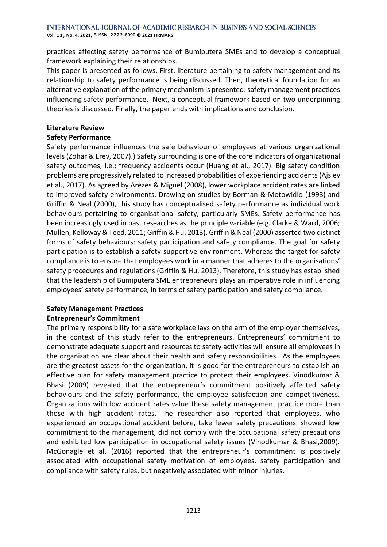**Vol. 1 1 , No. 4, 2021, E-ISSN: 2222-6990 © 2021 HRMARS**

practices affecting safety performance of Bumiputera SMEs and to develop a conceptual framework explaining their relationships.

This paper is presented as follows. First, literature pertaining to safety management and its relationship to safety performance is being discussed. Then, theoretical foundation for an alternative explanation of the primary mechanism is presented: safety management practices influencing safety performance. Next, a conceptual framework based on two underpinning theories is discussed. Finally, the paper ends with implications and conclusion.

#### **Literature Review**

#### **Safety Performance**

Safety performance influences the safe behaviour of employees at various organizational levels (Zohar & Erev, 2007).) Safety surrounding is one of the core indicators of organizational safety outcomes, i.e.; frequency accidents occur (Huang et al., 2017). Big safety condition problems are progressively related to increased probabilities of experiencing accidents (Ajslev et al., 2017). As agreed by Arezes & Miguel (2008), lower workplace accident rates are linked to improved safety environments. Drawing on studies by Borman & Motowidlo (1993) and Griffin & Neal (2000), this study has conceptualised safety performance as individual work behaviours pertaining to organisational safety, particularly SMEs. Safety performance has been increasingly used in past researches as the principle variable (e.g. Clarke & Ward, 2006; Mullen, Kelloway & Teed, 2011; Griffin & Hu, 2013). Griffin & Neal (2000) asserted two distinct forms of safety behaviours: safety participation and safety compliance. The goal for safety participation is to establish a safety-supportive environment. Whereas the target for safety compliance is to ensure that employees work in a manner that adheres to the organisations' safety procedures and regulations (Griffin & Hu, 2013). Therefore, this study has established that the leadership of Bumiputera SME entrepreneurs plays an imperative role in influencing employees' safety performance, in terms of safety participation and safety compliance.

#### **Safety Management Practices Entrepreneur's Commitment**

The primary responsibility for a safe workplace lays on the arm of the employer themselves, in the context of this study refer to the entrepreneurs. Entrepreneurs' commitment to demonstrate adequate support and resources to safety activities will ensure all employees in the organization are clear about their health and safety responsibilities. As the employees are the greatest assets for the organization, it is good for the entrepreneurs to establish an effective plan for safety management practice to protect their employees. Vinodkumar & Bhasi (2009) revealed that the entrepreneur's commitment positively affected safety behaviours and the safety performance, the employee satisfaction and competitiveness. Organizations with low accident rates value these safety management practice more than those with high accident rates. The researcher also reported that employees, who experienced an occupational accident before, take fewer safety precautions, showed low commitment to the management, did not comply with the occupational safety precautions and exhibited low participation in occupational safety issues (Vinodkumar & Bhasi,2009). McGonagle et al. (2016) reported that the entrepreneur's commitment is positively associated with occupational safety motivation of employees, safety participation and compliance with safety rules, but negatively associated with minor injuries.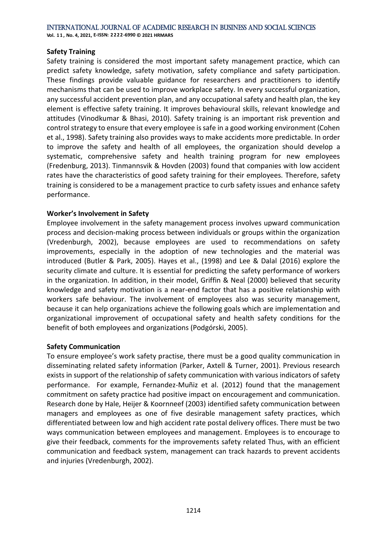#### **Safety Training**

Safety training is considered the most important safety management practice, which can predict safety knowledge, safety motivation, safety compliance and safety participation. These findings provide valuable guidance for researchers and practitioners to identify mechanisms that can be used to improve workplace safety. In every successful organization, any successful accident prevention plan, and any occupational safety and health plan, the key element is effective safety training. It improves behavioural skills, relevant knowledge and attitudes (Vinodkumar & Bhasi, 2010). Safety training is an important risk prevention and control strategy to ensure that every employee is safe in a good working environment (Cohen et al., 1998). Safety training also provides ways to make accidents more predictable. In order to improve the safety and health of all employees, the organization should develop a systematic, comprehensive safety and health training program for new employees (Fredenburg, 2013). Tinmannsvik & Hovden (2003) found that companies with low accident rates have the characteristics of good safety training for their employees. Therefore, safety training is considered to be a management practice to curb safety issues and enhance safety performance.

#### **Worker's Involvement in Safety**

Employee involvement in the safety management process involves upward communication process and decision-making process between individuals or groups within the organization (Vredenburgh, 2002), because employees are used to recommendations on safety improvements, especially in the adoption of new technologies and the material was introduced (Butler & Park, 2005). Hayes et al., (1998) and Lee & Dalal (2016) explore the security climate and culture. It is essential for predicting the safety performance of workers in the organization. In addition, in their model, Griffin & Neal (2000) believed that security knowledge and safety motivation is a near-end factor that has a positive relationship with workers safe behaviour. The involvement of employees also was security management, because it can help organizations achieve the following goals which are implementation and organizational improvement of occupational safety and health safety conditions for the benefit of both employees and organizations (Podgórski, 2005).

#### **Safety Communication**

To ensure employee's work safety practise, there must be a good quality communication in disseminating related safety information (Parker, Axtell & Turner, 2001). Previous research exists in support of the relationship of safety communication with various indicators of safety performance. For example, Fernandez-Muñiz et al. (2012) found that the management commitment on safety practice had positive impact on encouragement and communication. Research done by Hale, Heijer & Koornneef (2003) identified safety communication between managers and employees as one of five desirable management safety practices, which differentiated between low and high accident rate postal delivery offices. There must be two ways communication between employees and management. Employees is to encourage to give their feedback, comments for the improvements safety related Thus, with an efficient communication and feedback system, management can track hazards to prevent accidents and injuries (Vredenburgh, 2002).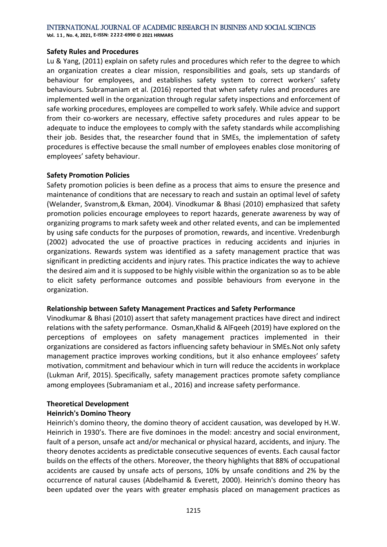**Vol. 1 1 , No. 4, 2021, E-ISSN: 2222-6990 © 2021 HRMARS**

#### **Safety Rules and Procedures**

Lu & Yang, (2011) explain on safety rules and procedures which refer to the degree to which an organization creates a clear mission, responsibilities and goals, sets up standards of behaviour for employees, and establishes safety system to correct workers' safety behaviours. Subramaniam et al. (2016) reported that when safety rules and procedures are implemented well in the organization through regular safety inspections and enforcement of safe working procedures, employees are compelled to work safely. While advice and support from their co-workers are necessary, effective safety procedures and rules appear to be adequate to induce the employees to comply with the safety standards while accomplishing their job. Besides that, the researcher found that in SMEs, the implementation of safety procedures is effective because the small number of employees enables close monitoring of employees' safety behaviour.

#### **Safety Promotion Policies**

Safety promotion policies is been define as a process that aims to ensure the presence and maintenance of conditions that are necessary to reach and sustain an optimal level of safety (Welander, Svanstrom,& Ekman, 2004). Vinodkumar & Bhasi (2010) emphasized that safety promotion policies encourage employees to report hazards, generate awareness by way of organizing programs to mark safety week and other related events, and can be implemented by using safe conducts for the purposes of promotion, rewards, and incentive. Vredenburgh (2002) advocated the use of proactive practices in reducing accidents and injuries in organizations. Rewards system was identified as a safety management practice that was significant in predicting accidents and injury rates. This practice indicates the way to achieve the desired aim and it is supposed to be highly visible within the organization so as to be able to elicit safety performance outcomes and possible behaviours from everyone in the organization.

#### **Relationship between Safety Management Practices and Safety Performance**

Vinodkumar & Bhasi (2010) assert that safety management practices have direct and indirect relations with the safety performance. Osman,Khalid & AlFqeeh (2019) have explored on the perceptions of employees on safety management practices implemented in their organizations are considered as factors influencing safety behaviour in SMEs.Not only safety management practice improves working conditions, but it also enhance employees' safety motivation, commitment and behaviour which in turn will reduce the accidents in workplace (Lukman Arif, 2015). Specifically, safety management practices promote safety compliance among employees (Subramaniam et al., 2016) and increase safety performance.

#### **Theoretical Development**

#### **Heinrich's Domino Theory**

Heinrich's domino theory, the domino theory of accident causation, was developed by H.W. Heinrich in 1930's. There are five dominoes in the model: ancestry and social environment, fault of a person, unsafe act and/or mechanical or physical hazard, accidents, and injury. The theory denotes accidents as predictable consecutive sequences of events. Each causal factor builds on the effects of the others. Moreover, the theory highlights that 88% of occupational accidents are caused by unsafe acts of persons, 10% by unsafe conditions and 2% by the occurrence of natural causes (Abdelhamid & Everett, 2000). Heinrich's domino theory has been updated over the years with greater emphasis placed on management practices as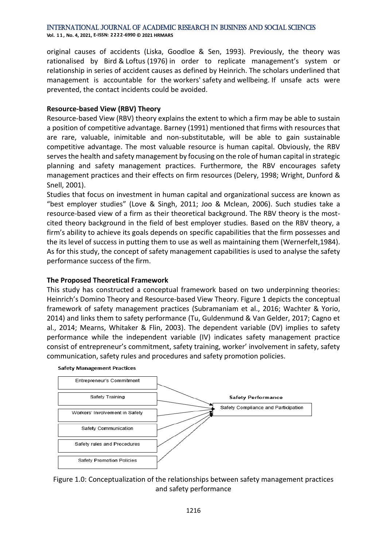**Vol. 1 1 , No. 4, 2021, E-ISSN: 2222-6990 © 2021 HRMARS**

original causes of accidents (Liska, Goodloe & Sen, 1993). Previously, the theory was rationalised by Bird & Loftus (1976) in order to replicate management's system or relationship in series of accident causes as defined by Heinrich. The scholars underlined that management is accountable for the workers' safety and wellbeing. If unsafe acts were prevented, the contact incidents could be avoided.

#### **Resource-based View (RBV) Theory**

Resource-based View (RBV) theory explains the extent to which a firm may be able to sustain a position of competitive advantage. Barney (1991) mentioned that firms with resources that are rare, valuable, inimitable and non-substitutable, will be able to gain sustainable competitive advantage. The most valuable resource is human capital. Obviously, the RBV serves the health and safety management by focusing on the role of human capital in strategic planning and safety management practices. Furthermore, the RBV encourages safety management practices and their effects on firm resources (Delery, 1998; Wright, Dunford & Snell, 2001).

Studies that focus on investment in human capital and organizational success are known as "best employer studies" (Love & Singh, 2011; Joo & Mclean, 2006). Such studies take a resource-based view of a firm as their theoretical background. The RBV theory is the mostcited theory background in the field of best employer studies. Based on the RBV theory, a firm's ability to achieve its goals depends on specific capabilities that the firm possesses and the its level of success in putting them to use as well as maintaining them (Wernerfelt,1984). As for this study, the concept of safety management capabilities is used to analyse the safety performance success of the firm.

#### **The Proposed Theoretical Framework**

This study has constructed a conceptual framework based on two underpinning theories: Heinrich's Domino Theory and Resource-based View Theory. Figure 1 depicts the conceptual framework of safety management practices (Subramaniam et al., 2016; Wachter & Yorio, 2014) and links them to safety performance (Tu, Guldenmund & Van Gelder, 2017; Cagno et al., 2014; Mearns, Whitaker & Flin, 2003). The dependent variable (DV) implies to safety performance while the independent variable (IV) indicates safety management practice consist of entrepreneur's commitment, safety training, worker' involvement in safety, safety communication, safety rules and procedures and safety promotion policies.



#### **Safety Management Practices**

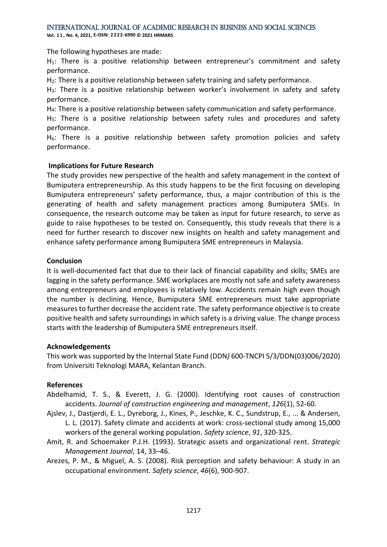**Vol. 1 1 , No. 4, 2021, E-ISSN: 2222-6990 © 2021 HRMARS**

The following hypotheses are made:

H<sub>1</sub>: There is a positive relationship between entrepreneur's commitment and safety performance.

H<sub>2</sub>: There is a positive relationship between safety training and safety performance.

H3: There is a positive relationship between worker's involvement in safety and safety performance.

H4: There is a positive relationship between safety communication and safety performance.

H<sub>5</sub>: There is a positive relationship between safety rules and procedures and safety performance.

 $H<sub>6</sub>$ : There is a positive relationship between safety promotion policies and safety performance.

#### **Implications for Future Research**

The study provides new perspective of the health and safety management in the context of Bumiputera entrepreneurship. As this study happens to be the first focusing on developing Bumiputera entrepreneurs' safety performance, thus, a major contribution of this is the generating of health and safety management practices among Bumiputera SMEs. In consequence, the research outcome may be taken as input for future research, to serve as guide to raise hypotheses to be tested on. Consequently, this study reveals that there is a need for further research to discover new insights on health and safety management and enhance safety performance among Bumiputera SME entrepreneurs in Malaysia.

#### **Conclusion**

It is well-documented fact that due to their lack of financial capability and skills; SMEs are lagging in the safety performance. SME workplaces are mostly not safe and safety awareness among entrepreneurs and employees is relatively low. Accidents remain high even though the number is declining. Hence, Bumiputera SME entrepreneurs must take appropriate measures to further decrease the accident rate. The safety performance objective is to create positive health and safety surroundings in which safety is a driving value. The change process starts with the leadership of Bumiputera SME entrepreneurs itself.

#### **Acknowledgements**

This work was supported by the Internal State Fund (DDN*)* 600-TNCPI 5/3/DDN(03)006/2020) from Universiti Teknologi MARA, Kelantan Branch.

#### **References**

- Abdelhamid, T. S., & Everett, J. G. (2000). Identifying root causes of construction accidents. *Journal of construction engineering and management*, *126*(1), 52-60.
- Ajslev, J., Dastjerdi, E. L., Dyreborg, J., Kines, P., Jeschke, K. C., Sundstrup, E., ... & Andersen, L. L. (2017). Safety climate and accidents at work: cross-sectional study among 15,000 workers of the general working population. *Safety science*, *91*, 320-325.
- Amit, R. and Schoemaker P.J.H. (1993). Strategic assets and organizational rent. *Strategic Management Journal*, 14, 33–46.
- Arezes, P. M., & Miguel, A. S. (2008). Risk perception and safety behaviour: A study in an occupational environment. *Safety science*, *46*(6), 900-907.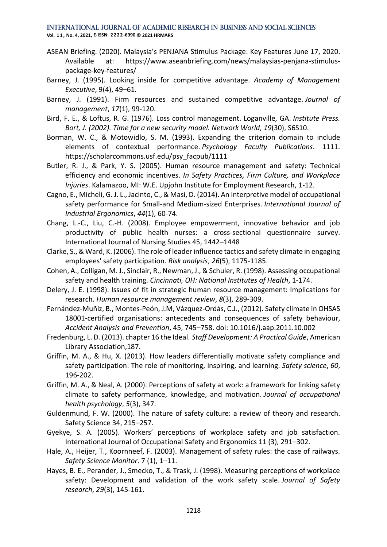- ASEAN Briefing. (2020). Malaysia's PENJANA Stimulus Package: Key Features June 17, 2020. Available at: https://www.aseanbriefing.com/news/malaysias-penjana-stimuluspackage-key-features/
- Barney, J. (1995). Looking inside for competitive advantage. *Academy of Management Executive*, 9(4), 49–61.
- Barney, J. (1991). Firm resources and sustained competitive advantage. *Journal of management*, *17*(1), 99-120.
- Bird, F. E., & Loftus, R. G. (1976). Loss control management. Loganville, GA. *Institute Press. Bort, J. (2002). Time for a new security model. Network World*, *19*(30), S6S10.
- Borman, W. C., & Motowidlo, S. M. (1993). Expanding the criterion domain to include elements of contextual performance. *Psychology Faculty Publications*. 1111. https://scholarcommons.usf.edu/psy\_facpub/1111
- Butler, R. J., & Park, Y. S. (2005). Human resource management and safety: Technical efficiency and economic incentives. *In Safety Practices, Firm Culture, and Workplace Injuries*. Kalamazoo, MI: W.E. Upjohn Institute for Employment Research, 1-12.
- Cagno, E., Micheli, G. J. L., Jacinto, C., & Masi, D. (2014). An interpretive model of occupational safety performance for Small-and Medium-sized Enterprises. *International Journal of Industrial Ergonomics*, *44*(1), 60-74.
- Chang, L.-C., Liu, C.-H. (2008). Employee empowerment, innovative behavior and job productivity of public health nurses: a cross-sectional questionnaire survey. International Journal of Nursing Studies 45, 1442–1448
- Clarke, S., & Ward, K. (2006). The role of leader influence tactics and safety climate in engaging employees' safety participation. *Risk analysis*, *26*(5), 1175-1185.
- Cohen, A., Colligan, M. J., Sinclair, R., Newman, J., & Schuler, R. (1998). Assessing occupational safety and health training. *Cincinnati, OH: National Institutes of Health*, 1-174.
- Delery, J. E. (1998). Issues of fit in strategic human resource management: Implications for research. *Human resource management review*, *8*(3), 289-309.
- Fernández-Muñiz, B., Montes-Peón, J.M, Vázquez-Ordás, C.J., (2012). Safety climate in OHSAS 18001-certified organisations: antecedents and consequences of safety behaviour, *Accident Analysis and Prevention*, 45, 745–758. doi: 10.1016/j.aap.2011.10.002
- Fredenburg, L. D. (2013). chapter 16 the Ideal. *Staff Development: A Practical Guide*, American Library Association,187.
- Griffin, M. A., & Hu, X. (2013). How leaders differentially motivate safety compliance and safety participation: The role of monitoring, inspiring, and learning. *Safety science*, *60*, 196-202.
- Griffin, M. A., & Neal, A. (2000). Perceptions of safety at work: a framework for linking safety climate to safety performance, knowledge, and motivation. *Journal of occupational health psychology*, *5*(3), 347.
- Guldenmund, F. W. (2000). The nature of safety culture: a review of theory and research. Safety Science 34, 215–257.
- Gyekye, S. A. (2005). Workers' perceptions of workplace safety and job satisfaction. International Journal of Occupational Safety and Ergonomics 11 (3), 291–302.
- Hale, A., Heijer, T., Koornneef, F. (2003). Management of safety rules: the case of railways. *Safety Science Monitor*. 7 (1), 1–11.
- Hayes, B. E., Perander, J., Smecko, T., & Trask, J. (1998). Measuring perceptions of workplace safety: Development and validation of the work safety scale. *Journal of Safety research*, *29*(3), 145-161.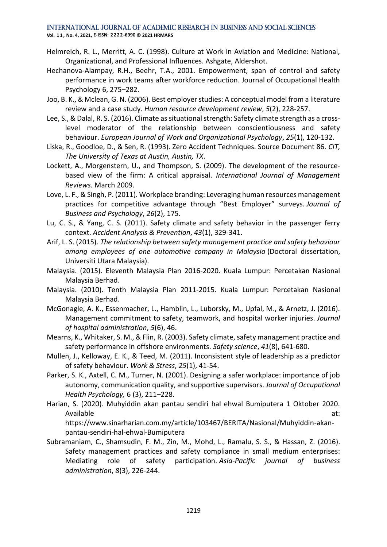- Helmreich, R. L., Merritt, A. C. (1998). Culture at Work in Aviation and Medicine: National, Organizational, and Professional Influences. Ashgate, Aldershot.
- Hechanova-Alampay, R.H., Beehr, T.A., 2001. Empowerment, span of control and safety performance in work teams after workforce reduction. Journal of Occupational Health Psychology 6, 275–282.
- Joo, B. K., & Mclean, G. N. (2006). Best employer studies: A conceptual model from a literature review and a case study. *Human resource development review*, *5*(2), 228-257.
- Lee, S., & Dalal, R. S. (2016). Climate as situational strength: Safety climate strength as a crosslevel moderator of the relationship between conscientiousness and safety behaviour. *European Journal of Work and Organizational Psychology*, *25*(1), 120-132.
- Liska, R., Goodloe, D., & Sen, R. (1993). Zero Accident Techniques. Source Document 86. *CIT, The University of Texas at Austin, Austin, TX*.
- Lockett, A., Morgenstern, U., and Thompson, S. (2009). The development of the resourcebased view of the firm: A critical appraisal. *International Journal of Management Reviews.* March 2009.
- Love, L. F., & Singh, P. (2011). Workplace branding: Leveraging human resources management practices for competitive advantage through "Best Employer" surveys. *Journal of Business and Psychology*, *26*(2), 175.
- Lu, C. S., & Yang, C. S. (2011). Safety climate and safety behavior in the passenger ferry context. *Accident Analysis & Prevention*, *43*(1), 329-341.
- Arif, L. S. (2015). *The relationship between safety management practice and safety behaviour among employees of one automotive company in Malaysia* (Doctoral dissertation, Universiti Utara Malaysia).
- Malaysia. (2015). Eleventh Malaysia Plan 2016-2020. Kuala Lumpur: Percetakan Nasional Malaysia Berhad.
- Malaysia. (2010). Tenth Malaysia Plan 2011-2015. Kuala Lumpur: Percetakan Nasional Malaysia Berhad.
- McGonagle, A. K., Essenmacher, L., Hamblin, L., Luborsky, M., Upfal, M., & Arnetz, J. (2016). Management commitment to safety, teamwork, and hospital worker injuries. *Journal of hospital administration*, *5*(6), 46.
- Mearns, K., Whitaker, S. M., & Flin, R. (2003). Safety climate, safety management practice and safety performance in offshore environments. *Safety science*, *41*(8), 641-680.
- Mullen, J., Kelloway, E. K., & Teed, M. (2011). Inconsistent style of leadership as a predictor of safety behaviour. *Work & Stress*, *25*(1), 41-54.
- Parker, S. K., Axtell, C. M., Turner, N. (2001). Designing a safer workplace: importance of job autonomy, communication quality, and supportive supervisors. *Journal of Occupational Health Psychology,* 6 (3), 211–228.
- Harian, S. (2020). Muhyiddin akan pantau sendiri hal ehwal Bumiputera 1 Oktober 2020. Available at: https://www.sinarharian.com.my/article/103467/BERITA/Nasional/Muhyiddin-akanpantau-sendiri-hal-ehwal-Bumiputera
- Subramaniam, C., Shamsudin, F. M., Zin, M., Mohd, L., Ramalu, S. S., & Hassan, Z. (2016). Safety management practices and safety compliance in small medium enterprises: Mediating role of safety participation. *Asia-Pacific journal of business administration*, *8*(3), 226-244.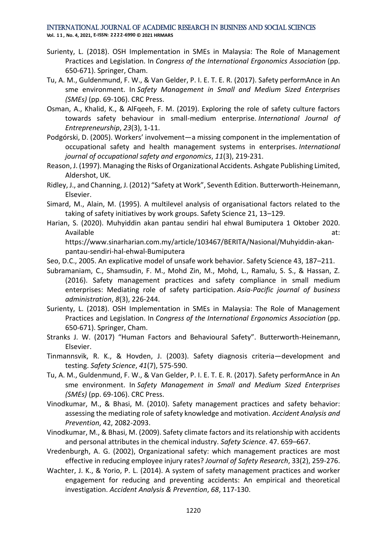- Surienty, L. (2018). OSH Implementation in SMEs in Malaysia: The Role of Management Practices and Legislation. In *Congress of the International Ergonomics Association* (pp. 650-671). Springer, Cham.
- Tu, A. M., Guldenmund, F. W., & Van Gelder, P. I. E. T. E. R. (2017). Safety performAnce in An sme environment. In *Safety Management in Small and Medium Sized Enterprises (SMEs)* (pp. 69-106). CRC Press.
- Osman, A., Khalid, K., & AlFqeeh, F. M. (2019). Exploring the role of safety culture factors towards safety behaviour in small-medium enterprise. *International Journal of Entrepreneurship*, *23*(3), 1-11.
- Podgórski, D. (2005). Workers' involvement—a missing component in the implementation of occupational safety and health management systems in enterprises. *International journal of occupational safety and ergonomics*, *11*(3), 219-231.
- Reason, J. (1997). Managing the Risks of Organizational Accidents. Ashgate Publishing Limited, Aldershot, UK.
- Ridley, J., and Channing, J. (2012) "Safety at Work", Seventh Edition. Butterworth-Heinemann, Elsevier.
- Simard, M., Alain, M. (1995). A multilevel analysis of organisational factors related to the taking of safety initiatives by work groups. Safety Science 21, 13–129.
- Harian, S. (2020). Muhyiddin akan pantau sendiri hal ehwal Bumiputera 1 Oktober 2020. Available at: https://www.sinarharian.com.my/article/103467/BERITA/Nasional/Muhyiddin-akan
	- pantau-sendiri-hal-ehwal-Bumiputera
- Seo, D.C., 2005. An explicative model of unsafe work behavior. Safety Science 43, 187–211.
- Subramaniam, C., Shamsudin, F. M., Mohd Zin, M., Mohd, L., Ramalu, S. S., & Hassan, Z. (2016). Safety management practices and safety compliance in small medium enterprises: Mediating role of safety participation. *Asia-Pacific journal of business administration*, *8*(3), 226-244.
- Surienty, L. (2018). OSH Implementation in SMEs in Malaysia: The Role of Management Practices and Legislation. In *Congress of the International Ergonomics Association* (pp. 650-671). Springer, Cham.
- Stranks J. W. (2017) "Human Factors and Behavioural Safety". Butterworth-Heinemann, Elsevier.
- Tinmannsvik, R. K., & Hovden, J. (2003). Safety diagnosis criteria—development and testing. *Safety Science*, *41*(7), 575-590.
- Tu, A. M., Guldenmund, F. W., & Van Gelder, P. I. E. T. E. R. (2017). Safety performAnce in An sme environment. In *Safety Management in Small and Medium Sized Enterprises (SMEs)* (pp. 69-106). CRC Press.
- Vinodkumar, M., & Bhasi, M. (2010). Safety management practices and safety behavior: assessing the mediating role of safety knowledge and motivation. *Accident Analysis and Prevention*, 42, 2082-2093.
- Vinodkumar, M., & Bhasi, M. (2009). Safety climate factors and its relationship with accidents and personal attributes in the chemical industry. *Safety Science*. 47. 659–667.
- Vredenburgh, A. G. (2002), Organizational safety: which management practices are most effective in reducing employee injury rates? *Journal of Safety Research*, 33(2), 259-276.
- Wachter, J. K., & Yorio, P. L. (2014). A system of safety management practices and worker engagement for reducing and preventing accidents: An empirical and theoretical investigation. *Accident Analysis & Prevention*, *68*, 117-130.